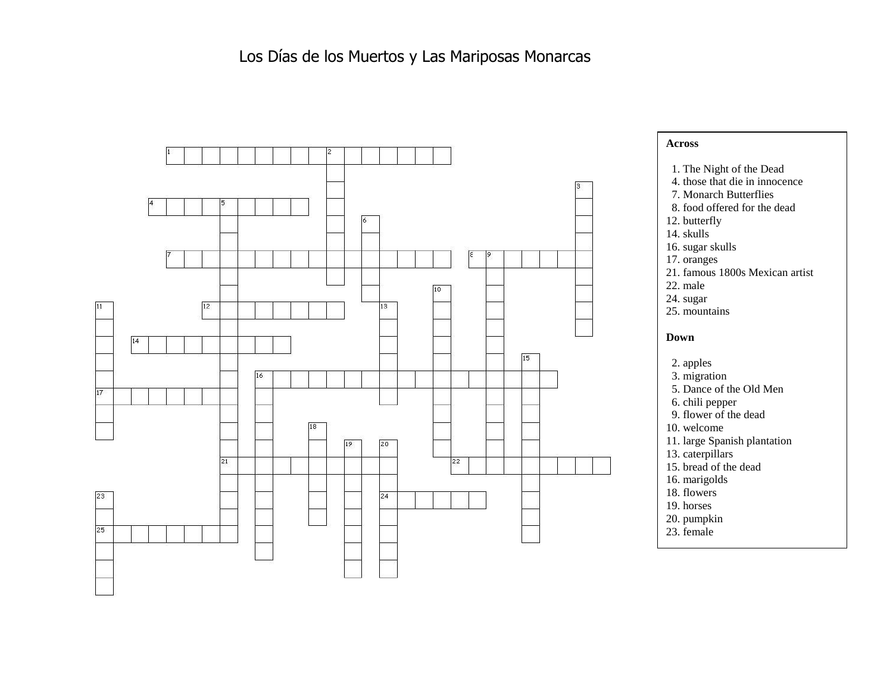## Los Días de los Muertos y Las Mariposas Monarcas



## **Across**

- 1. The Night of the Dead
- 4. those that die in innocence
- 7. Monarch Butterflies
- 8. food offered for the dead
- 12. butterfly
- 14. skulls
- 16. sugar skulls
- 17. oranges
- 21. famous 1800s Mexican artist
- 22. male
- 24. sugar
- 25. mountains

## **Down**

- 2. apples
- 3. migration
- 5. Dance of the Old Men
- 6. chili pepper
- 9. flower of the dead
- 10. welcome
- 11. large Spanish plantation
- 13. caterpillars
- 15. bread of the dead
- 16. marigolds
- 18. flowers
- 19. horses
- 20. pumpkin
- 23. female